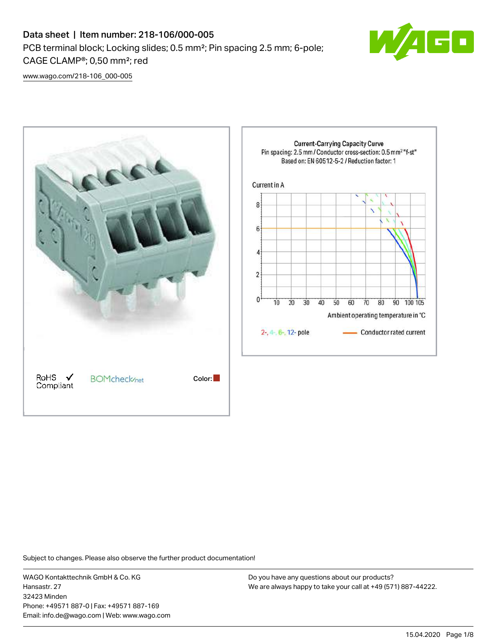

[www.wago.com/218-106\\_000-005](http://www.wago.com/218-106_000-005)



Subject to changes. Please also observe the further product documentation!

WAGO Kontakttechnik GmbH & Co. KG Hansastr. 27 32423 Minden Phone: +49571 887-0 | Fax: +49571 887-169 Email: info.de@wago.com | Web: www.wago.com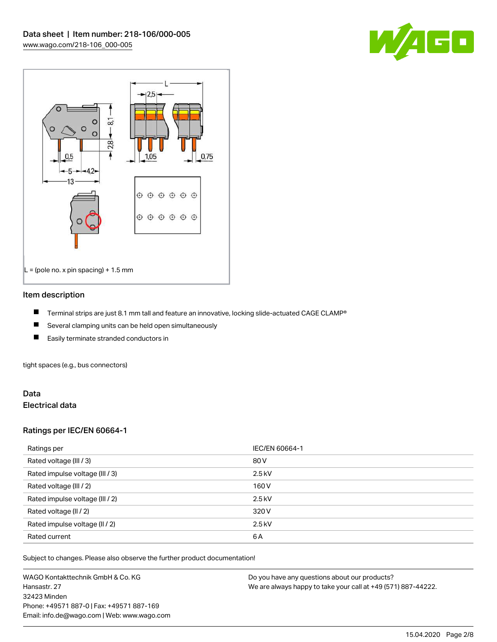



### Item description

- П Terminal strips are just 8.1 mm tall and feature an innovative, locking slide-actuated CAGE CLAMP®
- $\blacksquare$ Several clamping units can be held open simultaneously
- П Easily terminate stranded conductors in

tight spaces (e.g., bus connectors)

## Data Electrical data

## Ratings per IEC/EN 60664-1

| Ratings per                     | IEC/EN 60664-1 |
|---------------------------------|----------------|
| Rated voltage (III / 3)         | 80 V           |
| Rated impulse voltage (III / 3) | $2.5$ kV       |
| Rated voltage (III / 2)         | 160 V          |
| Rated impulse voltage (III / 2) | $2.5$ kV       |
| Rated voltage (II / 2)          | 320 V          |
| Rated impulse voltage (II / 2)  | $2.5$ kV       |
| Rated current                   | 6A             |

Subject to changes. Please also observe the further product documentation!

WAGO Kontakttechnik GmbH & Co. KG Hansastr. 27 32423 Minden Phone: +49571 887-0 | Fax: +49571 887-169 Email: info.de@wago.com | Web: www.wago.com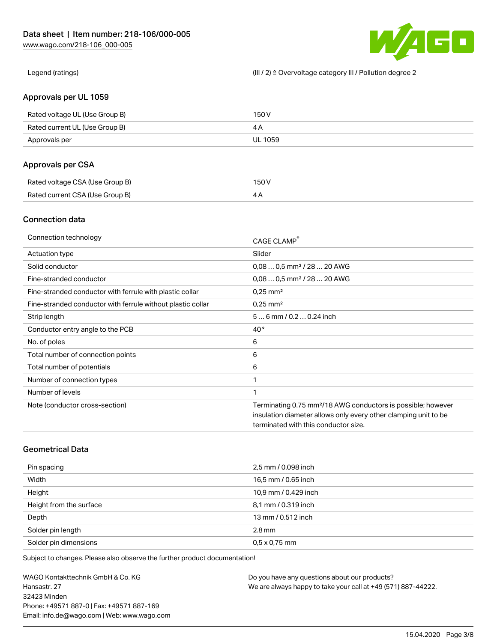

Legend (ratings) (III / 2) ≙ Overvoltage category III / Pollution degree 2

## Approvals per UL 1059

| Rated voltage UL (Use Group B) | 150 V   |
|--------------------------------|---------|
| Rated current UL (Use Group B) |         |
| Approvals per                  | UL 1059 |

## Approvals per CSA

| Rated voltage CSA (Use Group B) | 150 V |
|---------------------------------|-------|
| Rated current CSA (Use Group B) |       |

## Connection data

| Connection technology                                       | CAGE CLAMP <sup>®</sup>                                                  |
|-------------------------------------------------------------|--------------------------------------------------------------------------|
| Actuation type                                              | Slider                                                                   |
| Solid conductor                                             | $0.080.5$ mm <sup>2</sup> / 28  20 AWG                                   |
| Fine-stranded conductor                                     | $0.080.5$ mm <sup>2</sup> / 28  20 AWG                                   |
| Fine-stranded conductor with ferrule with plastic collar    | $0.25$ mm <sup>2</sup>                                                   |
| Fine-stranded conductor with ferrule without plastic collar | $0.25$ mm <sup>2</sup>                                                   |
| Strip length                                                | $56$ mm $/ 0.20.24$ inch                                                 |
| Conductor entry angle to the PCB                            | $40^{\circ}$                                                             |
| No. of poles                                                | 6                                                                        |
| Total number of connection points                           | 6                                                                        |
| Total number of potentials                                  | 6                                                                        |
| Number of connection types                                  | 1                                                                        |
| Number of levels                                            | 1                                                                        |
| Note (conductor cross-section)                              | Terminating 0.75 mm <sup>2</sup> /18 AWG conductors is possible; however |
|                                                             | insulation diameter allows only every other clamping unit to be          |
|                                                             | terminated with this conductor size.                                     |

# Geometrical Data

| Pin spacing             | 2,5 mm / 0.098 inch  |
|-------------------------|----------------------|
| Width                   | 16,5 mm / 0.65 inch  |
| Height                  | 10,9 mm / 0.429 inch |
| Height from the surface | 8,1 mm / 0.319 inch  |
| Depth                   | 13 mm / 0.512 inch   |
| Solder pin length       | $2.8 \,\mathrm{mm}$  |
| Solder pin dimensions   | $0.5 \times 0.75$ mm |

Subject to changes. Please also observe the further product documentation!

WAGO Kontakttechnik GmbH & Co. KG Hansastr. 27 32423 Minden Phone: +49571 887-0 | Fax: +49571 887-169 Email: info.de@wago.com | Web: www.wago.com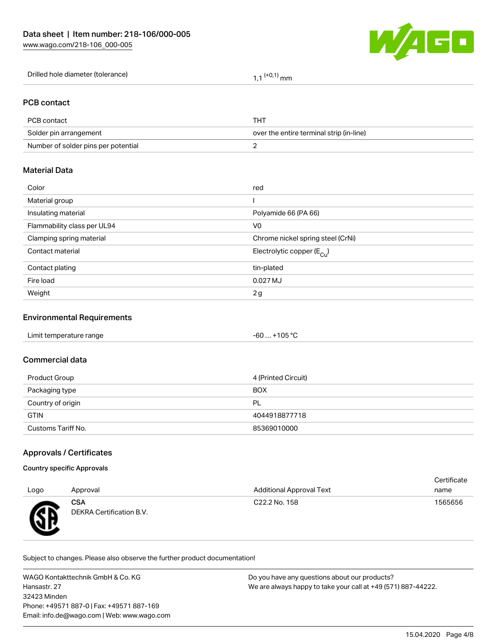

| Drilled hole diameter (tolerance) | $(+0,1)$ mm |
|-----------------------------------|-------------|
|-----------------------------------|-------------|

## PCB contact

| PCB contact                         | тнт                                      |
|-------------------------------------|------------------------------------------|
| Solder pin arrangement              | over the entire terminal strip (in-line) |
| Number of solder pins per potential |                                          |

## Material Data

| Color                       | red                                   |
|-----------------------------|---------------------------------------|
| Material group              |                                       |
| Insulating material         | Polyamide 66 (PA 66)                  |
| Flammability class per UL94 | V <sub>0</sub>                        |
| Clamping spring material    | Chrome nickel spring steel (CrNi)     |
| Contact material            | Electrolytic copper $(E_{\text{Cl}})$ |
| Contact plating             | tin-plated                            |
| Fire load                   | 0.027 MJ                              |
| Weight                      | 2g                                    |

### Environmental Requirements

#### Commercial data

| Product Group      | 4 (Printed Circuit) |
|--------------------|---------------------|
| Packaging type     | <b>BOX</b>          |
| Country of origin  | PL                  |
| <b>GTIN</b>        | 4044918877718       |
| Customs Tariff No. | 85369010000         |

## Approvals / Certificates

#### Country specific Approvals

|      |                                        |                                 | Certificate |
|------|----------------------------------------|---------------------------------|-------------|
| Logo | Approval                               | <b>Additional Approval Text</b> | name        |
| Æ    | <b>CSA</b><br>DEKRA Certification B.V. | C22.2 No. 158                   | 1565656     |

Subject to changes. Please also observe the further product documentation!

WAGO Kontakttechnik GmbH & Co. KG Hansastr. 27 32423 Minden Phone: +49571 887-0 | Fax: +49571 887-169 Email: info.de@wago.com | Web: www.wago.com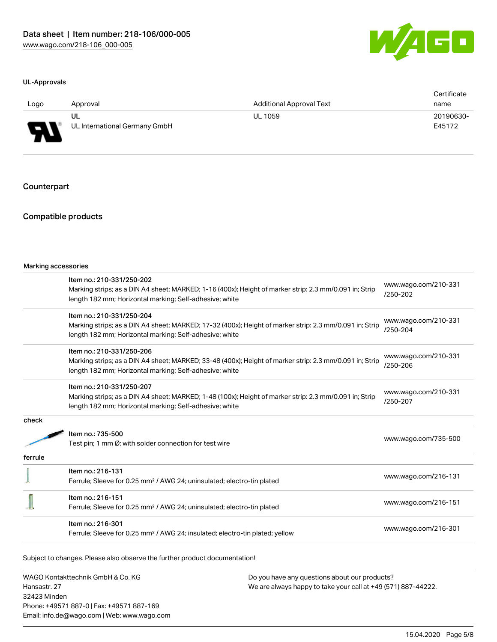

#### UL-Approvals

| Logo                     | Approval                      | <b>Additional Approval Text</b> | Certificate<br>name |
|--------------------------|-------------------------------|---------------------------------|---------------------|
| D                        | UL                            | UL 1059                         | 20190630-           |
| $\overline{\phantom{a}}$ | UL International Germany GmbH |                                 | E45172              |

### **Counterpart**

## Compatible products

|         | Item no.: 210-331/250-202                                                                               | www.wago.com/210-331<br>/250-202 |  |
|---------|---------------------------------------------------------------------------------------------------------|----------------------------------|--|
|         | Marking strips; as a DIN A4 sheet; MARKED; 1-16 (400x); Height of marker strip: 2.3 mm/0.091 in; Strip  |                                  |  |
|         | length 182 mm; Horizontal marking; Self-adhesive; white                                                 |                                  |  |
|         | Item no.: 210-331/250-204                                                                               |                                  |  |
|         | Marking strips; as a DIN A4 sheet; MARKED; 17-32 (400x); Height of marker strip: 2.3 mm/0.091 in; Strip | www.wago.com/210-331<br>/250-204 |  |
|         | length 182 mm; Horizontal marking; Self-adhesive; white                                                 |                                  |  |
|         | Item no.: 210-331/250-206                                                                               |                                  |  |
|         | Marking strips; as a DIN A4 sheet; MARKED; 33-48 (400x); Height of marker strip: 2.3 mm/0.091 in; Strip | www.wago.com/210-331             |  |
|         | length 182 mm; Horizontal marking; Self-adhesive; white                                                 | /250-206                         |  |
|         | Item no.: 210-331/250-207                                                                               |                                  |  |
|         | Marking strips; as a DIN A4 sheet; MARKED; 1-48 (100x); Height of marker strip: 2.3 mm/0.091 in; Strip  | www.wago.com/210-331             |  |
|         | length 182 mm; Horizontal marking; Self-adhesive; white                                                 | /250-207                         |  |
| check   |                                                                                                         |                                  |  |
|         | Item no.: 735-500                                                                                       | www.wago.com/735-500             |  |
|         | Test pin; 1 mm Ø; with solder connection for test wire                                                  |                                  |  |
| ferrule |                                                                                                         |                                  |  |
|         | Item no.: 216-131                                                                                       | www.wago.com/216-131             |  |
|         | Ferrule; Sleeve for 0.25 mm <sup>2</sup> / AWG 24; uninsulated; electro-tin plated                      |                                  |  |
|         | Item no.: 216-151                                                                                       |                                  |  |
|         | Ferrule; Sleeve for 0.25 mm <sup>2</sup> / AWG 24; uninsulated; electro-tin plated                      | www.wago.com/216-151             |  |
|         | Item no.: 216-301                                                                                       |                                  |  |
|         | Ferrule; Sleeve for 0.25 mm <sup>2</sup> / AWG 24; insulated; electro-tin plated; yellow                | www.wago.com/216-301             |  |

Subject to changes. Please also observe the further product documentation!

WAGO Kontakttechnik GmbH & Co. KG Hansastr. 27 32423 Minden Phone: +49571 887-0 | Fax: +49571 887-169 Email: info.de@wago.com | Web: www.wago.com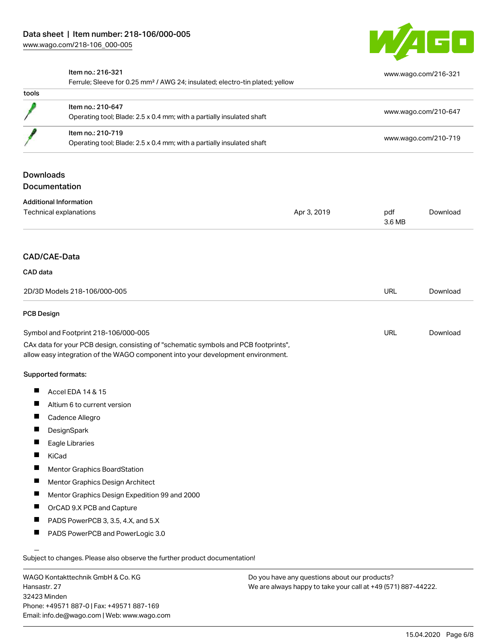

[www.wago.com/216-321](http://www.wago.com/216-321)

### Item no.: 216-321

Ferrule; Sleeve for 0.25 mm² / AWG 24; insulated; electro-tin plated; yellow

| tools                         |                                                                                                                                                                        |             |                      |                      |  |  |
|-------------------------------|------------------------------------------------------------------------------------------------------------------------------------------------------------------------|-------------|----------------------|----------------------|--|--|
|                               | Item no.: 210-647<br>Operating tool; Blade: 2.5 x 0.4 mm; with a partially insulated shaft                                                                             |             | www.wago.com/210-647 |                      |  |  |
|                               | Item no.: 210-719<br>Operating tool; Blade: 2.5 x 0.4 mm; with a partially insulated shaft                                                                             |             |                      |                      |  |  |
|                               |                                                                                                                                                                        |             |                      | www.wago.com/210-719 |  |  |
| <b>Downloads</b>              |                                                                                                                                                                        |             |                      |                      |  |  |
| Documentation                 |                                                                                                                                                                        |             |                      |                      |  |  |
| <b>Additional Information</b> |                                                                                                                                                                        |             |                      |                      |  |  |
|                               | Technical explanations                                                                                                                                                 | Apr 3, 2019 | pdf<br>3.6 MB        | Download             |  |  |
| <b>CAD/CAE-Data</b>           |                                                                                                                                                                        |             |                      |                      |  |  |
| CAD data                      |                                                                                                                                                                        |             |                      |                      |  |  |
| 2D/3D Models 218-106/000-005  |                                                                                                                                                                        | URL         | Download             |                      |  |  |
| <b>PCB Design</b>             |                                                                                                                                                                        |             |                      |                      |  |  |
|                               | Symbol and Footprint 218-106/000-005                                                                                                                                   |             | URL                  | Download             |  |  |
|                               | CAx data for your PCB design, consisting of "schematic symbols and PCB footprints",<br>allow easy integration of the WAGO component into your development environment. |             |                      |                      |  |  |
| Supported formats:            |                                                                                                                                                                        |             |                      |                      |  |  |
| П                             | Accel EDA 14 & 15                                                                                                                                                      |             |                      |                      |  |  |
| ш                             | Altium 6 to current version                                                                                                                                            |             |                      |                      |  |  |
| п                             | Cadence Allegro                                                                                                                                                        |             |                      |                      |  |  |
|                               | DesignSpark                                                                                                                                                            |             |                      |                      |  |  |
| П                             | Eagle Libraries                                                                                                                                                        |             |                      |                      |  |  |
| П<br>KiCad                    |                                                                                                                                                                        |             |                      |                      |  |  |
|                               | Mentor Graphics BoardStation                                                                                                                                           |             |                      |                      |  |  |
| L                             | Mentor Graphics Design Architect                                                                                                                                       |             |                      |                      |  |  |
| H.                            | Mentor Graphics Design Expedition 99 and 2000                                                                                                                          |             |                      |                      |  |  |
|                               | OrCAD 9.X PCB and Capture                                                                                                                                              |             |                      |                      |  |  |
| п                             | PADS PowerPCB 3, 3.5, 4.X, and 5.X                                                                                                                                     |             |                      |                      |  |  |
| ш                             | PADS PowerPCB and PowerLogic 3.0                                                                                                                                       |             |                      |                      |  |  |
|                               |                                                                                                                                                                        |             |                      |                      |  |  |

WAGO Kontakttechnik GmbH & Co. KG Hansastr. 27 32423 Minden Phone: +49571 887-0 | Fax: +49571 887-169 Email: info.de@wago.com | Web: www.wago.com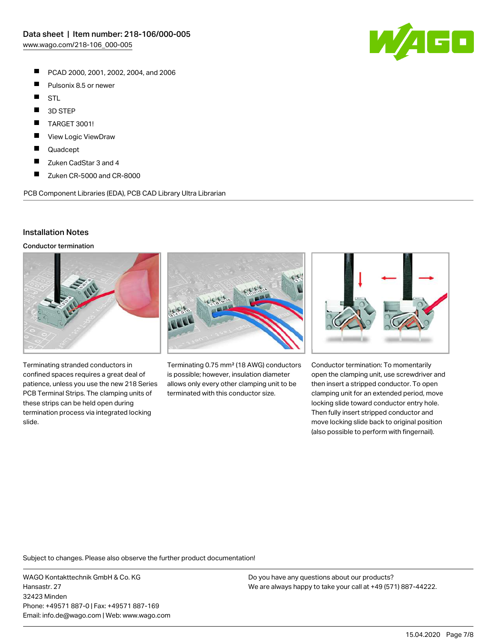- $\blacksquare$ PCAD 2000, 2001, 2002, 2004, and 2006
- $\blacksquare$ Pulsonix 8.5 or newer
- $\blacksquare$ STL
- $\blacksquare$ 3D STEP
- П TARGET 3001!
- П View Logic ViewDraw
- П Quadcept
- $\blacksquare$ Zuken CadStar 3 and 4
- $\blacksquare$ Zuken CR-5000 and CR-8000

PCB Component Libraries (EDA), PCB CAD Library Ultra Librarian

## Installation Notes

Conductor termination



Terminating stranded conductors in confined spaces requires a great deal of patience, unless you use the new 218 Series PCB Terminal Strips. The clamping units of these strips can be held open during termination process via integrated locking slide.



Terminating 0.75 mm² (18 AWG) conductors is possible; however, insulation diameter allows only every other clamping unit to be terminated with this conductor size.



Conductor termination: To momentarily open the clamping unit, use screwdriver and then insert a stripped conductor. To open clamping unit for an extended period, move locking slide toward conductor entry hole. Then fully insert stripped conductor and move locking slide back to original position (also possible to perform with fingernail).

Subject to changes. Please also observe the further product documentation!

WAGO Kontakttechnik GmbH & Co. KG Hansastr. 27 32423 Minden Phone: +49571 887-0 | Fax: +49571 887-169 Email: info.de@wago.com | Web: www.wago.com